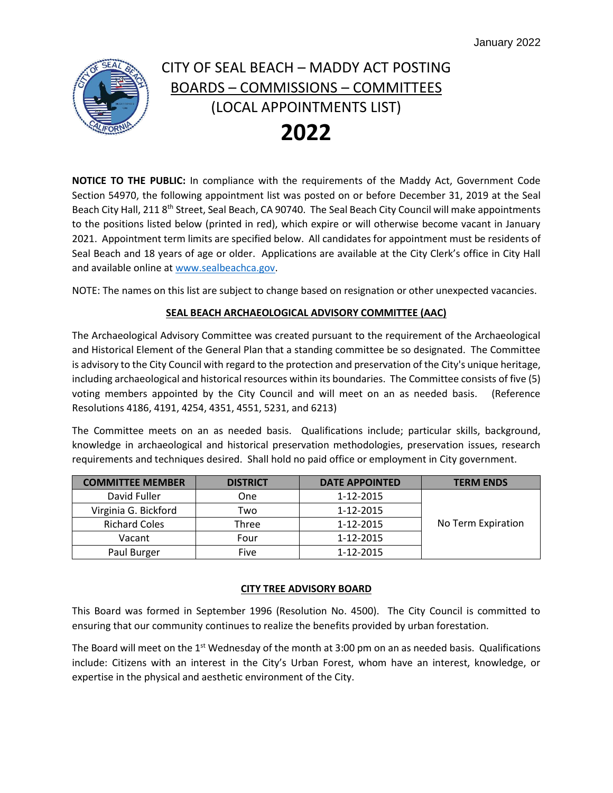

**NOTICE TO THE PUBLIC:** In compliance with the requirements of the Maddy Act, Government Code Section 54970, the following appointment list was posted on or before December 31, 2019 at the Seal Beach City Hall, 211 8<sup>th</sup> Street, Seal Beach, CA 90740. The Seal Beach City Council will make appointments to the positions listed below (printed in red), which expire or will otherwise become vacant in January 2021. Appointment term limits are specified below. All candidates for appointment must be residents of Seal Beach and 18 years of age or older. Applications are available at the City Clerk's office in City Hall and available online at [www.sealbeachca.gov.](http://www.sealbeachca.gov/)

NOTE: The names on this list are subject to change based on resignation or other unexpected vacancies.

### **SEAL BEACH ARCHAEOLOGICAL ADVISORY COMMITTEE (AAC)**

The Archaeological Advisory Committee was created pursuant to the requirement of the Archaeological and Historical Element of the General Plan that a standing committee be so designated. The Committee is advisory to the City Council with regard to the protection and preservation of the City's unique heritage, including archaeological and historical resources within its boundaries. The Committee consists of five (5) voting members appointed by the City Council and will meet on an as needed basis. (Reference Resolutions 4186, 4191, 4254, 4351, 4551, 5231, and 6213)

The Committee meets on an as needed basis. Qualifications include; particular skills, background, knowledge in archaeological and historical preservation methodologies, preservation issues, research requirements and techniques desired. Shall hold no paid office or employment in City government.

| <b>COMMITTEE MEMBER</b> | <b>DISTRICT</b> | <b>DATE APPOINTED</b> | <b>TERM ENDS</b>   |
|-------------------------|-----------------|-----------------------|--------------------|
| David Fuller            | One             | 1-12-2015             |                    |
| Virginia G. Bickford    | Two             | 1-12-2015             |                    |
| <b>Richard Coles</b>    | Three           | 1-12-2015             | No Term Expiration |
| Vacant                  | Four            | 1-12-2015             |                    |
| Paul Burger             | Five            | 1-12-2015             |                    |

### **CITY TREE ADVISORY BOARD**

This Board was formed in September 1996 (Resolution No. 4500). The City Council is committed to ensuring that our community continues to realize the benefits provided by urban forestation.

The Board will meet on the  $1<sup>st</sup>$  Wednesday of the month at 3:00 pm on an as needed basis. Qualifications include: Citizens with an interest in the City's Urban Forest, whom have an interest, knowledge, or expertise in the physical and aesthetic environment of the City.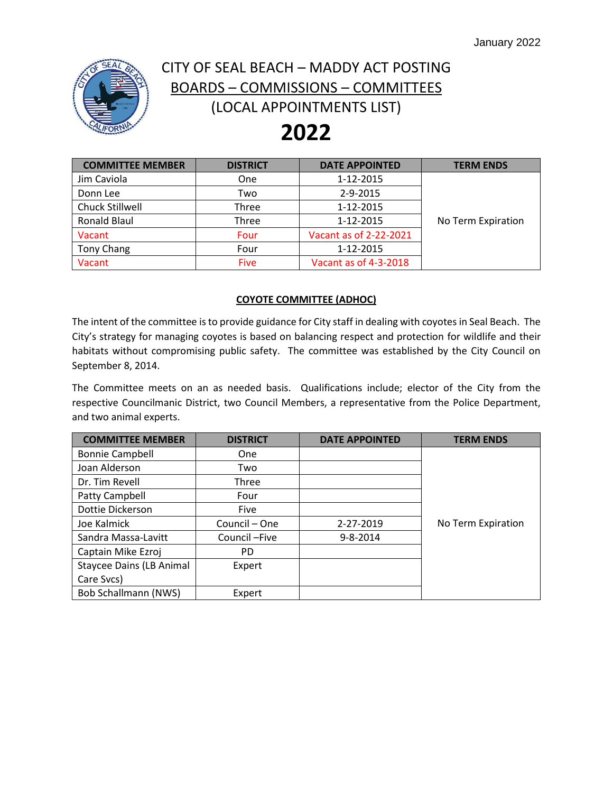

# **2022**

| <b>COMMITTEE MEMBER</b> | <b>DISTRICT</b> | <b>DATE APPOINTED</b>  | <b>TERM ENDS</b>   |
|-------------------------|-----------------|------------------------|--------------------|
| Jim Caviola             | <b>One</b>      | 1-12-2015              |                    |
| Donn Lee                | Two             | 2-9-2015               |                    |
| Chuck Stillwell         | <b>Three</b>    | 1-12-2015              |                    |
| <b>Ronald Blaul</b>     | Three           | 1-12-2015              | No Term Expiration |
| Vacant                  | Four            | Vacant as of 2-22-2021 |                    |
| <b>Tony Chang</b>       | Four            | 1-12-2015              |                    |
| Vacant                  | <b>Five</b>     | Vacant as of 4-3-2018  |                    |

#### **COYOTE COMMITTEE (ADHOC)**

The intent of the committee is to provide guidance for City staff in dealing with coyotes in Seal Beach. The City's strategy for managing coyotes is based on balancing respect and protection for wildlife and their habitats without compromising public safety. The committee was established by the City Council on September 8, 2014.

The Committee meets on an as needed basis. Qualifications include; elector of the City from the respective Councilmanic District, two Council Members, a representative from the Police Department, and two animal experts.

| <b>COMMITTEE MEMBER</b>         | <b>DISTRICT</b> | <b>DATE APPOINTED</b> | <b>TERM ENDS</b>   |
|---------------------------------|-----------------|-----------------------|--------------------|
| <b>Bonnie Campbell</b>          | <b>One</b>      |                       |                    |
| Joan Alderson                   | Two             |                       |                    |
| Dr. Tim Revell                  | Three           |                       |                    |
| Patty Campbell                  | Four            |                       |                    |
| Dottie Dickerson                | <b>Five</b>     |                       |                    |
| Joe Kalmick                     | Council - One   | 2-27-2019             | No Term Expiration |
| Sandra Massa-Lavitt             | Council-Five    | 9-8-2014              |                    |
| Captain Mike Ezroj              | PD.             |                       |                    |
| <b>Staycee Dains (LB Animal</b> | Expert          |                       |                    |
| Care Svcs)                      |                 |                       |                    |
| <b>Bob Schallmann (NWS)</b>     | Expert          |                       |                    |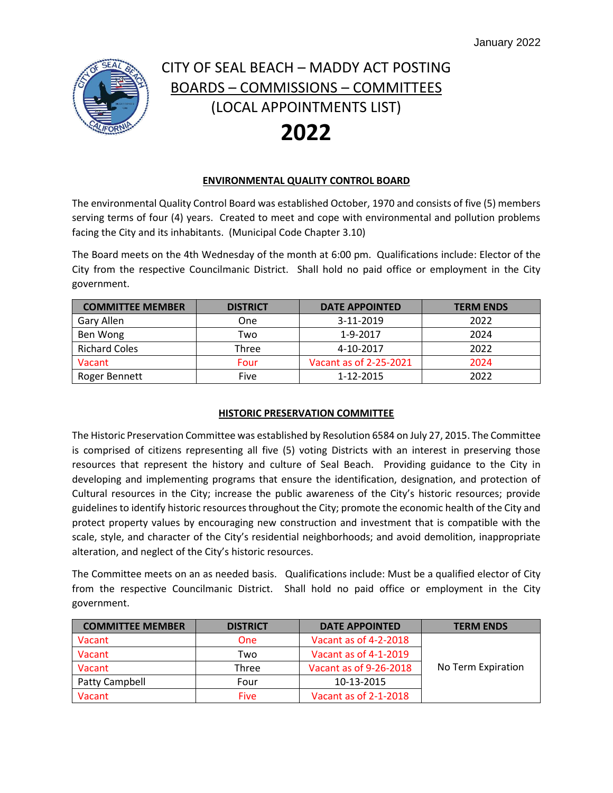

#### **ENVIRONMENTAL QUALITY CONTROL BOARD**

The environmental Quality Control Board was established October, 1970 and consists of five (5) members serving terms of four (4) years. Created to meet and cope with environmental and pollution problems facing the City and its inhabitants. (Municipal Code Chapter 3.10)

The Board meets on the 4th Wednesday of the month at 6:00 pm. Qualifications include: Elector of the City from the respective Councilmanic District. Shall hold no paid office or employment in the City government.

| <b>COMMITTEE MEMBER</b> | <b>DISTRICT</b> | <b>DATE APPOINTED</b>  | <b>TERM ENDS</b> |
|-------------------------|-----------------|------------------------|------------------|
| Gary Allen              | One             | 3-11-2019              | 2022             |
| Ben Wong                | Two             | 1-9-2017               | 2024             |
| <b>Richard Coles</b>    | Three           | 4-10-2017              | 2022             |
| Vacant                  | Four            | Vacant as of 2-25-2021 | 2024             |
| Roger Bennett           | Five            | 1-12-2015              | 2022             |

#### **HISTORIC PRESERVATION COMMITTEE**

The Historic Preservation Committee was established by Resolution 6584 on July 27, 2015. The Committee is comprised of citizens representing all five (5) voting Districts with an interest in preserving those resources that represent the history and culture of Seal Beach. Providing guidance to the City in developing and implementing programs that ensure the identification, designation, and protection of Cultural resources in the City; increase the public awareness of the City's historic resources; provide guidelines to identify historic resources throughout the City; promote the economic health of the City and protect property values by encouraging new construction and investment that is compatible with the scale, style, and character of the City's residential neighborhoods; and avoid demolition, inappropriate alteration, and neglect of the City's historic resources.

The Committee meets on an as needed basis. Qualifications include: Must be a qualified elector of City from the respective Councilmanic District. Shall hold no paid office or employment in the City government.

| <b>COMMITTEE MEMBER</b> | <b>DISTRICT</b> | <b>DATE APPOINTED</b>  | <b>TERM ENDS</b>   |
|-------------------------|-----------------|------------------------|--------------------|
| Vacant                  | <b>One</b>      | Vacant as of 4-2-2018  |                    |
| Vacant                  | Two             | Vacant as of 4-1-2019  |                    |
| Vacant                  | Three           | Vacant as of 9-26-2018 | No Term Expiration |
| Patty Campbell          | Four            | 10-13-2015             |                    |
| Vacant                  | Five            | Vacant as of 2-1-2018  |                    |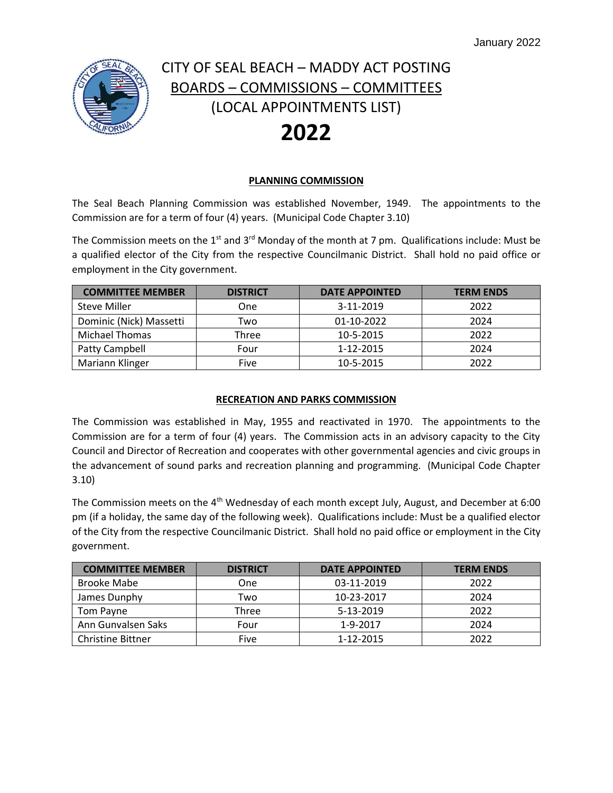

#### **PLANNING COMMISSION**

The Seal Beach Planning Commission was established November, 1949. The appointments to the Commission are for a term of four (4) years. (Municipal Code Chapter 3.10)

The Commission meets on the 1<sup>st</sup> and 3<sup>rd</sup> Monday of the month at 7 pm. Qualifications include: Must be a qualified elector of the City from the respective Councilmanic District. Shall hold no paid office or employment in the City government.

| <b>COMMITTEE MEMBER</b> | <b>DISTRICT</b> | <b>DATE APPOINTED</b> | <b>TERM ENDS</b> |
|-------------------------|-----------------|-----------------------|------------------|
| <b>Steve Miller</b>     | One             | 3-11-2019             | 2022             |
| Dominic (Nick) Massetti | Two             | 01-10-2022            | 2024             |
| Michael Thomas          | Three           | 10-5-2015             | 2022             |
| Patty Campbell          | Four            | 1-12-2015             | 2024             |
| Mariann Klinger         | Five            | 10-5-2015             | 2022             |

### **RECREATION AND PARKS COMMISSION**

The Commission was established in May, 1955 and reactivated in 1970. The appointments to the Commission are for a term of four (4) years. The Commission acts in an advisory capacity to the City Council and Director of Recreation and cooperates with other governmental agencies and civic groups in the advancement of sound parks and recreation planning and programming. (Municipal Code Chapter 3.10)

The Commission meets on the  $4<sup>th</sup>$  Wednesday of each month except July, August, and December at 6:00 pm (if a holiday, the same day of the following week). Qualifications include: Must be a qualified elector of the City from the respective Councilmanic District. Shall hold no paid office or employment in the City government.

| <b>COMMITTEE MEMBER</b>  | <b>DISTRICT</b> | <b>DATE APPOINTED</b> | <b>TERM ENDS</b> |
|--------------------------|-----------------|-----------------------|------------------|
| <b>Brooke Mabe</b>       | One             | 03-11-2019            | 2022             |
| James Dunphy             | Two             | 10-23-2017            | 2024             |
| Tom Payne                | Three           | 5-13-2019             | 2022             |
| Ann Gunvalsen Saks       | Four            | 1-9-2017              | 2024             |
| <b>Christine Bittner</b> | Five            | 1-12-2015             | 2022             |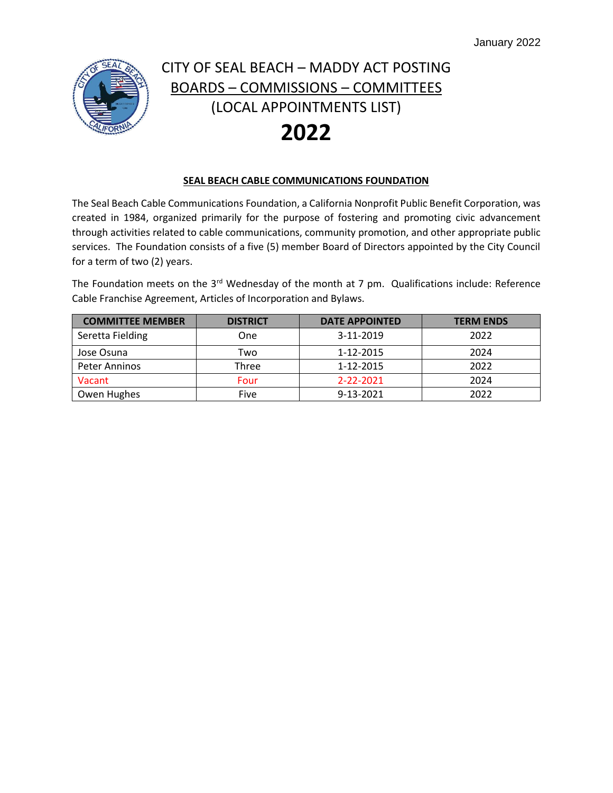

### **SEAL BEACH CABLE COMMUNICATIONS FOUNDATION**

The Seal Beach Cable Communications Foundation, a California Nonprofit Public Benefit Corporation, was created in 1984, organized primarily for the purpose of fostering and promoting civic advancement through activities related to cable communications, community promotion, and other appropriate public services. The Foundation consists of a five (5) member Board of Directors appointed by the City Council for a term of two (2) years.

The Foundation meets on the  $3<sup>rd</sup>$  Wednesday of the month at 7 pm. Qualifications include: Reference Cable Franchise Agreement, Articles of Incorporation and Bylaws.

| <b>COMMITTEE MEMBER</b> | <b>DISTRICT</b> | <b>DATE APPOINTED</b> | <b>TERM ENDS</b> |
|-------------------------|-----------------|-----------------------|------------------|
| Seretta Fielding        | One             | 3-11-2019             | 2022             |
| Jose Osuna              | Two             | 1-12-2015             | 2024             |
| Peter Anninos           | Three           | 1-12-2015             | 2022             |
| Vacant                  | Four            | 2-22-2021             | 2024             |
| Owen Hughes             | Five            | 9-13-2021             | 2022             |